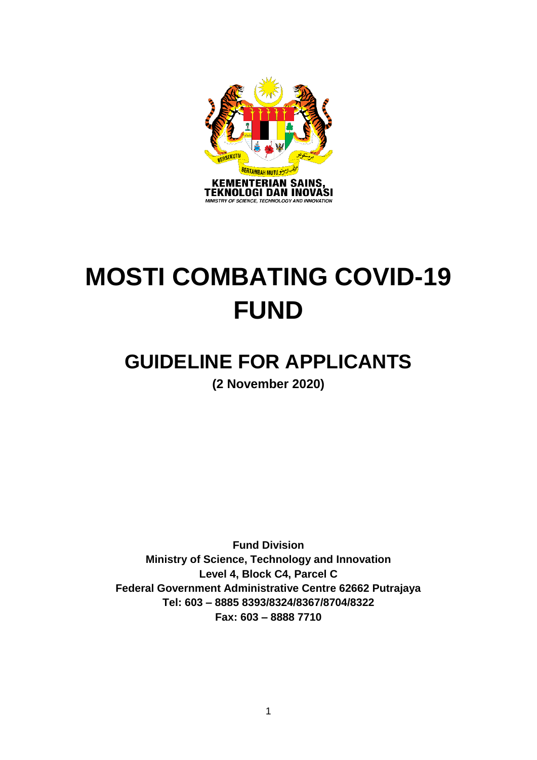

# **MOSTI COMBATING COVID-19 FUND**

# **GUIDELINE FOR APPLICANTS**

**(2 November 2020)**

**Fund Division Ministry of Science, Technology and Innovation Level 4, Block C4, Parcel C Federal Government Administrative Centre 62662 Putrajaya Tel: 603 – 8885 8393/8324/8367/8704/8322 Fax: 603 – 8888 7710**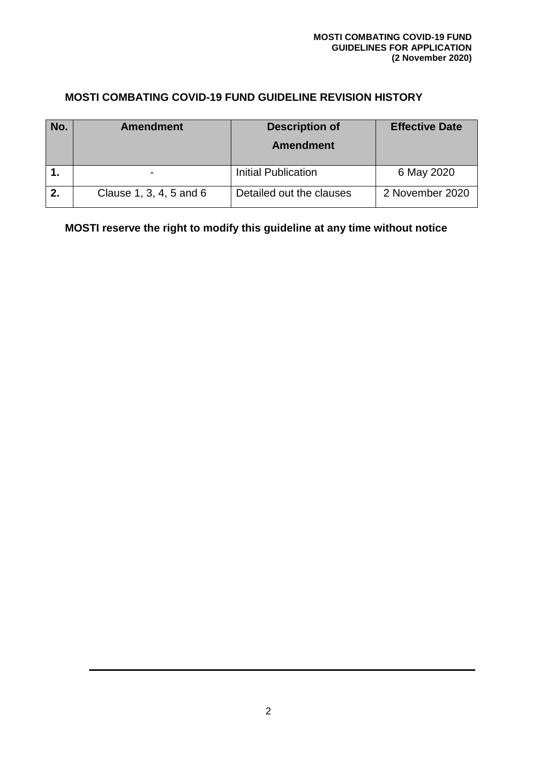#### **MOSTI COMBATING COVID-19 FUND GUIDELINE REVISION HISTORY**

| No. | <b>Amendment</b>         | <b>Description of</b><br><b>Amendment</b> | <b>Effective Date</b> |
|-----|--------------------------|-------------------------------------------|-----------------------|
|     | $\overline{\phantom{0}}$ | <b>Initial Publication</b>                | 6 May 2020            |
| 2.  | Clause 1, 3, 4, 5 and 6  | Detailed out the clauses                  | 2 November 2020       |

**MOSTI reserve the right to modify this guideline at any time without notice**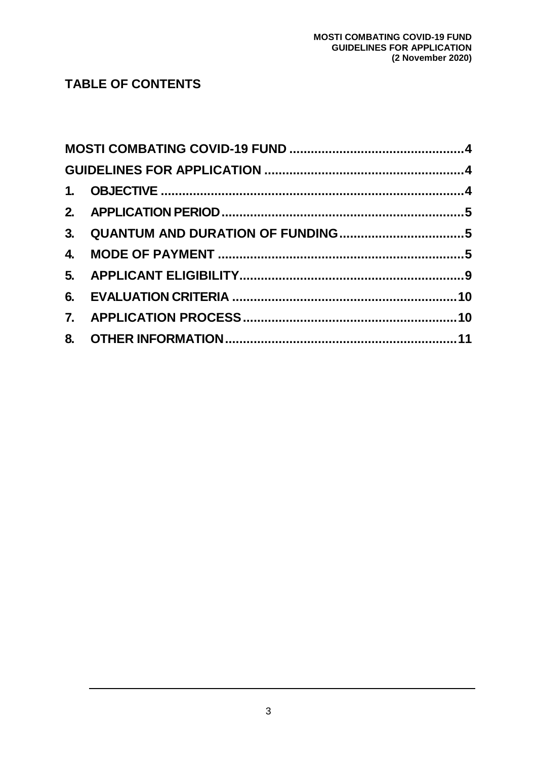#### **TABLE OF CONTENTS**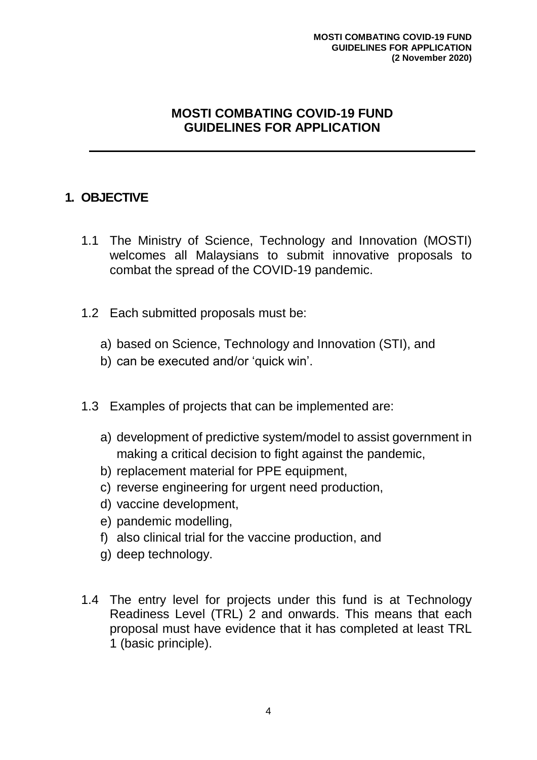#### **MOSTI COMBATING COVID-19 FUND GUIDELINES FOR APPLICATION**

#### <span id="page-3-2"></span><span id="page-3-1"></span><span id="page-3-0"></span>**1. OBJECTIVE**

- 1.1 The Ministry of Science, Technology and Innovation (MOSTI) welcomes all Malaysians to submit innovative proposals to combat the spread of the COVID-19 pandemic.
- 1.2 Each submitted proposals must be:
	- a) based on Science, Technology and Innovation (STI), and
	- b) can be executed and/or 'quick win'.
- 1.3 Examples of projects that can be implemented are:
	- a) development of predictive system/model to assist government in making a critical decision to fight against the pandemic,
	- b) replacement material for PPE equipment.
	- c) reverse engineering for urgent need production,
	- d) vaccine development,
	- e) pandemic modelling,
	- f) also clinical trial for the vaccine production, and
	- g) deep technology.
- 1.4 The entry level for projects under this fund is at Technology Readiness Level (TRL) 2 and onwards. This means that each proposal must have evidence that it has completed at least TRL 1 (basic principle).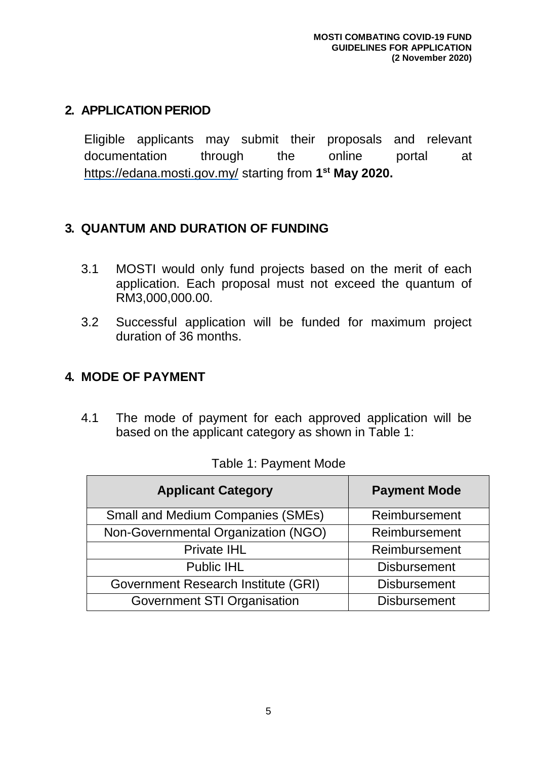#### <span id="page-4-0"></span>**2. APPLICATION PERIOD**

Eligible applicants may submit their proposals and relevant documentation through the online portal at <https://edana.mosti.gov.my/> starting from **1 st May 2020.**

#### <span id="page-4-1"></span>**3. QUANTUM AND DURATION OF FUNDING**

- 3.1 MOSTI would only fund projects based on the merit of each application. Each proposal must not exceed the quantum of RM3,000,000.00.
- 3.2 Successful application will be funded for maximum project duration of 36 months.

#### <span id="page-4-2"></span>**4. MODE OF PAYMENT**

4.1 The mode of payment for each approved application will be based on the applicant category as shown in Table 1:

| <b>Applicant Category</b>                | <b>Payment Mode</b> |
|------------------------------------------|---------------------|
| <b>Small and Medium Companies (SMEs)</b> | Reimbursement       |
| Non-Governmental Organization (NGO)      | Reimbursement       |
| <b>Private IHL</b>                       | Reimbursement       |
| <b>Public IHL</b>                        | <b>Disbursement</b> |
| Government Research Institute (GRI)      | <b>Disbursement</b> |
| <b>Government STI Organisation</b>       | <b>Disbursement</b> |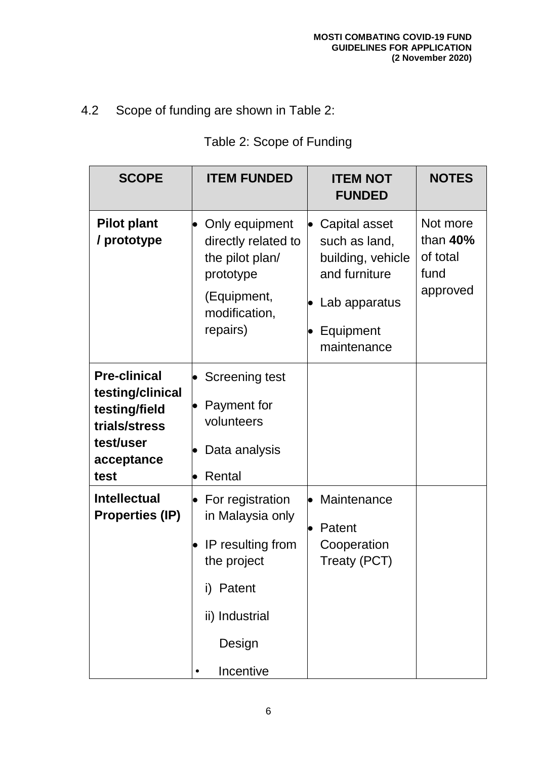## 4.2 Scope of funding are shown in Table 2:

### Table 2: Scope of Funding

| <b>SCOPE</b>                                                                                                 | <b>ITEM FUNDED</b>                                                                                                             | <b>ITEM NOT</b><br><b>FUNDED</b>                                                                                        | <b>NOTES</b>                                           |
|--------------------------------------------------------------------------------------------------------------|--------------------------------------------------------------------------------------------------------------------------------|-------------------------------------------------------------------------------------------------------------------------|--------------------------------------------------------|
| <b>Pilot plant</b><br>/ prototype                                                                            | Only equipment<br>directly related to<br>the pilot plan/<br>prototype<br>(Equipment,<br>modification,<br>repairs)              | Capital asset<br>l.<br>such as land,<br>building, vehicle<br>and furniture<br>Lab apparatus<br>Equipment<br>maintenance | Not more<br>than $40%$<br>of total<br>fund<br>approved |
| <b>Pre-clinical</b><br>testing/clinical<br>testing/field<br>trials/stress<br>test/user<br>acceptance<br>test | Screening test<br>Payment for<br>volunteers<br>Data analysis<br>Rental                                                         |                                                                                                                         |                                                        |
| <b>Intellectual</b><br><b>Properties (IP)</b>                                                                | For registration<br>in Malaysia only<br>IP resulting from<br>the project<br>i) Patent<br>ii) Industrial<br>Design<br>Incentive | Maintenance<br>Patent<br>Cooperation<br>Treaty (PCT)                                                                    |                                                        |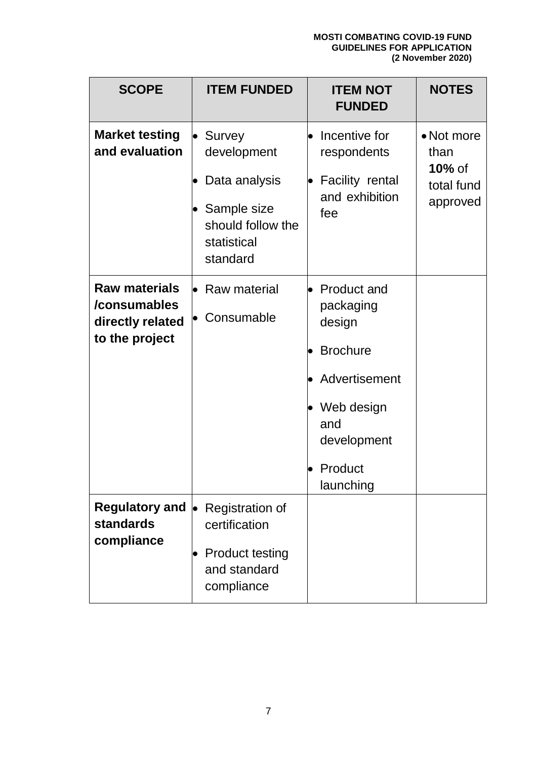#### **MOSTI COMBATING COVID-19 FUND GUIDELINES FOR APPLICATION (2 November 2020)**

| <b>SCOPE</b>                                                               | <b>ITEM FUNDED</b>                                                                                              | <b>ITEM NOT</b><br><b>FUNDED</b>                                                                                                              | <b>NOTES</b>                                              |
|----------------------------------------------------------------------------|-----------------------------------------------------------------------------------------------------------------|-----------------------------------------------------------------------------------------------------------------------------------------------|-----------------------------------------------------------|
| <b>Market testing</b><br>and evaluation                                    | $\bullet$ Survey<br>development<br>Data analysis<br>Sample size<br>should follow the<br>statistical<br>standard | Incentive for<br>$\bullet$<br>respondents<br><b>Facility rental</b><br>$\bullet$<br>and exhibition<br>fee                                     | • Not more<br>than<br>$10\%$ of<br>total fund<br>approved |
| <b>Raw materials</b><br>/consumables<br>directly related<br>to the project | • Raw material<br>Consumable<br>$\bullet$                                                                       | <b>Product and</b><br>packaging<br>design<br><b>Brochure</b><br>• Advertisement<br>• Web design<br>and<br>development<br>Product<br>launching |                                                           |
| <b>Regulatory and</b><br>standards<br>compliance                           | <b>Registration of</b><br>$\bullet$<br>certification<br><b>Product testing</b><br>and standard<br>compliance    |                                                                                                                                               |                                                           |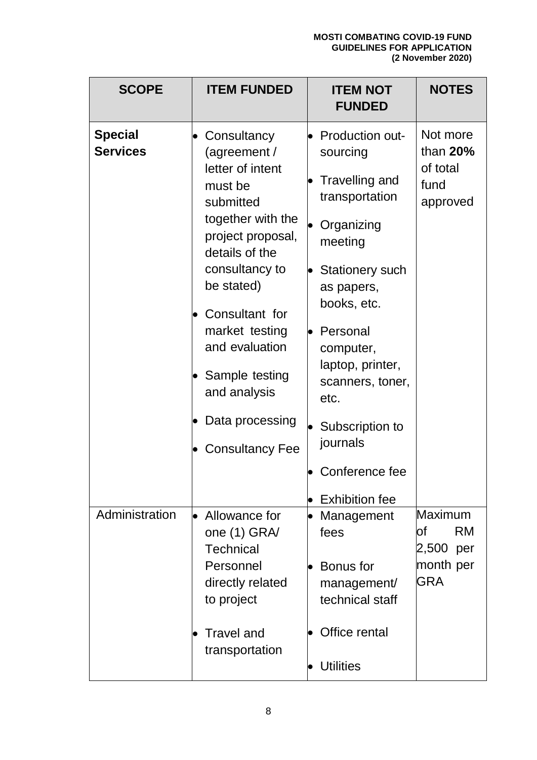| <b>SCOPE</b>                      | <b>ITEM FUNDED</b>                                                                                                                                                                                                                                                                                                                 | <b>ITEM NOT</b><br><b>FUNDED</b>                                                                                                                                                                                                                                                                          | <b>NOTES</b>                                                        |
|-----------------------------------|------------------------------------------------------------------------------------------------------------------------------------------------------------------------------------------------------------------------------------------------------------------------------------------------------------------------------------|-----------------------------------------------------------------------------------------------------------------------------------------------------------------------------------------------------------------------------------------------------------------------------------------------------------|---------------------------------------------------------------------|
| <b>Special</b><br><b>Services</b> | Consultancy<br>$\bullet$<br>(agreement /<br>letter of intent<br>must be<br>submitted<br>together with the<br>project proposal,<br>details of the<br>consultancy to<br>be stated)<br>Consultant for<br>market testing<br>and evaluation<br>Sample testing<br>and analysis<br>Data processing<br>$\bullet$<br><b>Consultancy Fee</b> | <b>Production out-</b><br>sourcing<br>Travelling and<br>transportation<br>Organizing<br>meeting<br><b>Stationery such</b><br>as papers,<br>books, etc.<br>Personal<br>computer,<br>laptop, printer,<br>scanners, toner,<br>etc.<br>Subscription to<br>journals<br>Conference fee<br><b>Exhibition fee</b> | Not more<br>than $20%$<br>of total<br>fund<br>approved              |
| Administration                    | • Allowance for<br>one (1) GRA/<br><b>Technical</b><br>Personnel<br>directly related<br>to project<br><b>Travel and</b><br>transportation                                                                                                                                                                                          | Management<br>fees<br>Bonus for<br>management/<br>technical staff<br>Office rental<br><b>Utilities</b>                                                                                                                                                                                                    | Maximum<br>lof<br><b>RM</b><br>2,500 per<br>month per<br><b>GRA</b> |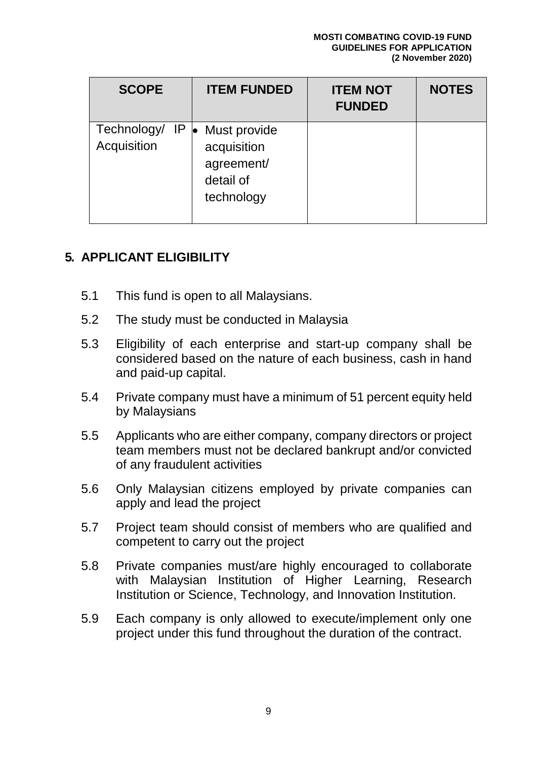| <b>SCOPE</b>                      | <b>ITEM FUNDED</b>                                                                | <b>ITEM NOT</b><br><b>FUNDED</b> | <b>NOTES</b> |
|-----------------------------------|-----------------------------------------------------------------------------------|----------------------------------|--------------|
| Technology/<br>IP.<br>Acquisition | Must provide<br>$\bullet$<br>acquisition<br>agreement/<br>detail of<br>technology |                                  |              |

#### <span id="page-8-0"></span>**5. APPLICANT ELIGIBILITY**

- 5.1 This fund is open to all Malaysians.
- 5.2 The study must be conducted in Malaysia
- 5.3 Eligibility of each enterprise and start-up company shall be considered based on the nature of each business, cash in hand and paid-up capital.
- 5.4 Private company must have a minimum of 51 percent equity held by Malaysians
- 5.5 Applicants who are either company, company directors or project team members must not be declared bankrupt and/or convicted of any fraudulent activities
- 5.6 Only Malaysian citizens employed by private companies can apply and lead the project
- 5.7 Project team should consist of members who are qualified and competent to carry out the project
- 5.8 Private companies must/are highly encouraged to collaborate with Malaysian Institution of Higher Learning, Research Institution or Science, Technology, and Innovation Institution.
- 5.9 Each company is only allowed to execute/implement only one project under this fund throughout the duration of the contract.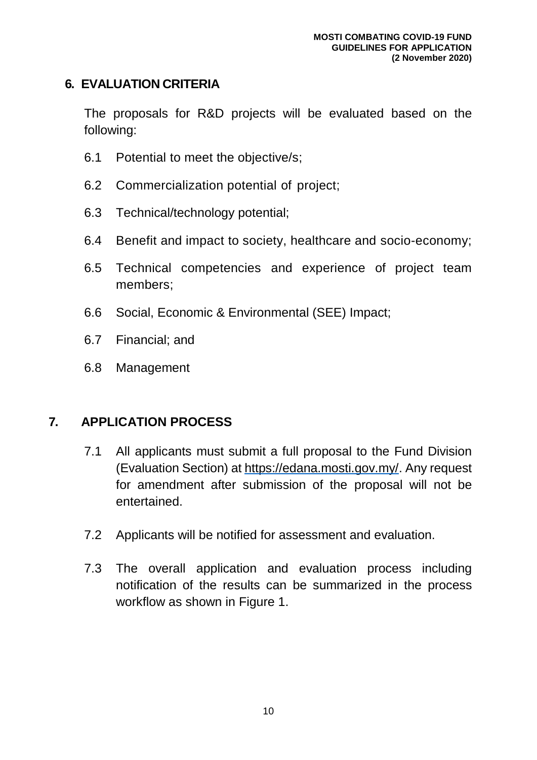#### <span id="page-9-0"></span>**6. EVALUATION CRITERIA**

The proposals for R&D projects will be evaluated based on the following:

- 6.1 Potential to meet the objective/s;
- 6.2 Commercialization potential of project;
- 6.3 Technical/technology potential;
- 6.4 Benefit and impact to society, healthcare and socio-economy;
- 6.5 Technical competencies and experience of project team members;
- 6.6 Social, Economic & Environmental (SEE) Impact;
- 6.7 Financial; and
- 6.8 Management

#### <span id="page-9-1"></span>**7. APPLICATION PROCESS**

- 7.1 All applicants must submit a full proposal to the Fund Division (Evaluation Section) at https://edana.mosti.gov.my/. Any request for amendment after submission of the proposal will not be entertained.
- 7.2 Applicants will be notified for assessment and evaluation.
- 7.3 The overall application and evaluation process including notification of the results can be summarized in the process workflow as shown in Figure 1.